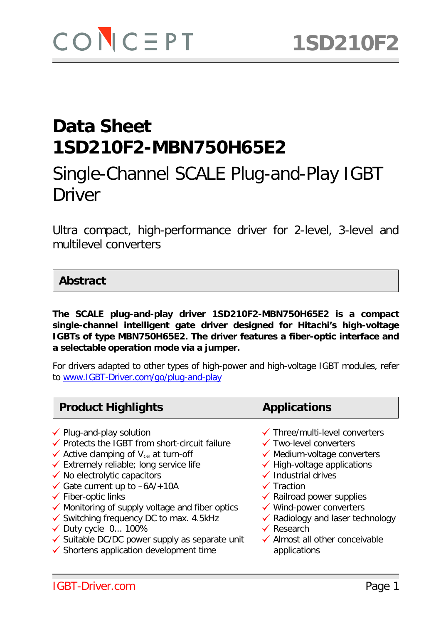# Single-Channel SCALE Plug-and-Play IGBT Driver

Ultra compact, high-performance driver for 2-level, 3-level and multilevel converters

#### **Abstract**

**The SCALE plug-and-play driver 1SD210F2-MBN750H65E2 is a compact single-channel intelligent gate driver designed for Hitachi's high-voltage IGBTs of type MBN750H65E2. The driver features a fiber-optic interface and a selectable operation mode via a jumper.**

For drivers adapted to other types of high-power and high-voltage IGBT modules, refer to [www.IGBT-Driver.com/go/plug-and-play](http://www.igbt-driver.com/go/plug-and-play)

#### **Product Highlights <b>Applications**

- 
- $\checkmark$  Protects the IGBT from short-circuit failure  $\checkmark$  Two-level converters
- $\checkmark$  Active clamping of V<sub>ce</sub> at turn-off  $\checkmark$  Medium-voltage converters
- $\checkmark$  Extremely reliable; long service life  $\checkmark$  No electrolytic capacitors
- 
- $\checkmark$  Gate current up to  $-6A/+10A$   $\checkmark$  Traction
- 
- $\checkmark$  Monitoring of supply voltage and fiber optics  $\checkmark$  Wind-power converters  $\checkmark$  Switching frequency DC to max. 4.5kHz  $\checkmark$  Radiology and laser technology
- ◆ Monitoring of supply voltage and liber optics → Monito-power converters<br>◆ Switching frequency DC to max. 4.5kHz → Nadiology and laser technology Duty cycle 0... 100% Research
- 
- $\checkmark$  Duty cycle 0... 100%<br>  $\checkmark$  Suitable DC/DC power supply as separate unit  $\checkmark$  Almost all other conceivable
- $\checkmark$  Shortens application development time applications
- 
- ◆ Plug-and-play solution  $\checkmark$  Three/multi-level converters
	-
	-
	- $\checkmark$  High-voltage applications<br> $\checkmark$  Industrial drives
	-
	-
- $\checkmark$  Fiber-optic links  $\checkmark$  Fiber-optic links
	-
	-
	-
	-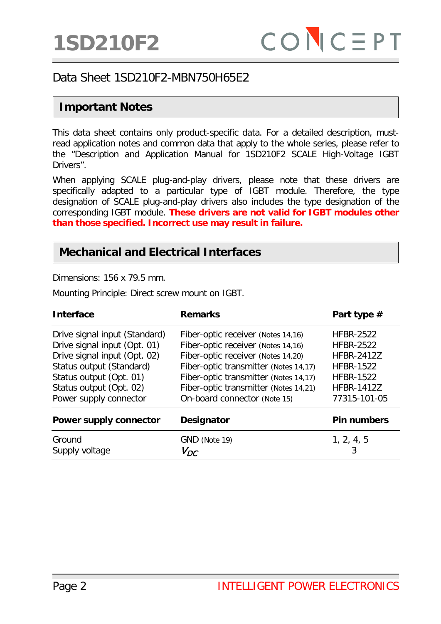## **Important Notes**

This data sheet contains only product-specific data. For a detailed description, mustread application notes and common data that apply to the whole series, please refer to the "Description and Application Manual for 1SD210F2 SCALE High-Voltage IGBT Drivers".

When applying SCALE plug-and-play drivers, please note that these drivers are specifically adapted to a particular type of IGBT module. Therefore, the type designation of SCALE plug-and-play drivers also includes the type designation of the corresponding IGBT module. **These drivers are not valid for IGBT modules other than those specified. Incorrect use may result in failure.**

#### **Mechanical and Electrical Interfaces**

Dimensions: 156 x 79.5 mm.

Mounting Principle: Direct screw mount on IGBT.

| <b>Interface</b>                                                                                                                                                                                          | <b>Remarks</b>                                                                                                                                                                                                                                                            | Part type #                                                                                                                            |
|-----------------------------------------------------------------------------------------------------------------------------------------------------------------------------------------------------------|---------------------------------------------------------------------------------------------------------------------------------------------------------------------------------------------------------------------------------------------------------------------------|----------------------------------------------------------------------------------------------------------------------------------------|
| Drive signal input (Standard)<br>Drive signal input (Opt. 01)<br>Drive signal input (Opt. 02)<br>Status output (Standard)<br>Status output (Opt. 01)<br>Status output (Opt. 02)<br>Power supply connector | Fiber-optic receiver (Notes 14,16)<br>Fiber-optic receiver (Notes 14,16)<br>Fiber-optic receiver (Notes 14,20)<br>Fiber-optic transmitter (Notes 14,17)<br>Fiber-optic transmitter (Notes 14,17)<br>Fiber-optic transmitter (Notes 14,21)<br>On-board connector (Note 15) | <b>HFBR-2522</b><br><b>HFBR-2522</b><br><b>HFBR-2412Z</b><br><b>HFBR-1522</b><br><b>HFBR-1522</b><br><b>HFBR-1412Z</b><br>77315-101-05 |
| <b>Power supply connector</b>                                                                                                                                                                             | <b>Designator</b>                                                                                                                                                                                                                                                         | <b>Pin numbers</b>                                                                                                                     |
| Ground<br>Supply voltage                                                                                                                                                                                  | GND (Note 19)<br>$V_{DC}$                                                                                                                                                                                                                                                 | 1, 2, 4, 5                                                                                                                             |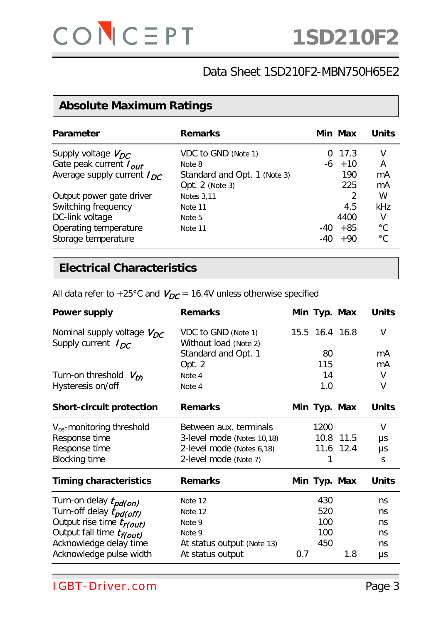# **Absolute Maximum Ratings**

| <b>Parameter</b>                | <b>Remarks</b>               |       | Min Max  | Units        |
|---------------------------------|------------------------------|-------|----------|--------------|
| Supply voltage $V_{DC}$         | VDC to GND (Note 1)          |       | 0, 17.3  |              |
| Gate peak current $I_{out}$     | Note 8                       |       | $-6$ +10 | A            |
| Average supply current $I_{DC}$ | Standard and Opt. 1 (Note 3) |       | 190      | mA           |
|                                 | Opt. 2 (Note 3)              |       | 225      | mA           |
| Output power gate driver        | <b>Notes 3,11</b>            |       | 2        | W            |
| Switching frequency             | Note 11                      |       | 4.5      | kHz          |
| DC-link voltage                 | Note 5                       |       | 4400     | V            |
| Operating temperature           | Note 11                      | $-40$ | $+85$    | $^{\circ}$ C |
| Storage temperature             |                              | -40   | $+90$    | $^{\circ}C$  |

### **Electrical Characteristics**

| All data refer to +25°C and $V_{DC}$ = 16.4V unless otherwise specified |  |  |  |
|-------------------------------------------------------------------------|--|--|--|
|-------------------------------------------------------------------------|--|--|--|

| <b>Power supply</b>                                        | <b>Remarks</b>                               |     | Min Typ. Max   |           | <b>Units</b> |
|------------------------------------------------------------|----------------------------------------------|-----|----------------|-----------|--------------|
| Nominal supply voltage $V_{DC}$<br>Supply current $I_{DC}$ | VDC to GND (Note 1)<br>Without load (Note 2) |     | 15.5 16.4 16.8 |           | $\vee$       |
|                                                            | Standard and Opt. 1                          |     | 80             |           | mA           |
|                                                            | Opt. 2                                       |     | 115            |           | mA           |
| Turn-on threshold $V_{th}$                                 | Note 4                                       |     | 14             |           | $\vee$       |
| Hysteresis on/off                                          | Note 4                                       |     | 1.0            |           | V            |
| <b>Short-circuit protection</b>                            | <b>Remarks</b>                               |     | Min Typ. Max   |           | <b>Units</b> |
| $V_{ce}$ -monitoring threshold                             | Between aux. terminals                       |     | 1200           |           | $\vee$       |
| Response time                                              | 3-level mode (Notes 10,18)                   |     |                | 10.8 11.5 | μs           |
| Response time                                              | 2-level mode (Notes 6,18)                    |     |                | 11.6 12.4 | μs           |
| <b>Blocking time</b>                                       | 2-level mode (Note 7)                        |     | 1              |           | S            |
| <b>Timing characteristics</b>                              | <b>Remarks</b>                               |     | Min Typ. Max   |           | <b>Units</b> |
| Turn-on delay t <sub>pd(on)</sub>                          | Note 12                                      |     | 430            |           | ns           |
| Turn-off delay $t_{pd(off)}$                               | Note 12                                      |     | 520            |           | ns           |
| Output rise time t <sub>r(out)</sub>                       | Note 9                                       |     | 100            |           | ns           |
| Output fall time t <sub>f(out)</sub>                       | Note 9                                       |     | 100            |           | ns           |
| Acknowledge delay time                                     | At status output (Note 13)                   |     | 450            |           | ns           |
| Acknowledge pulse width                                    | At status output                             | 0.7 |                | 1.8       | μs           |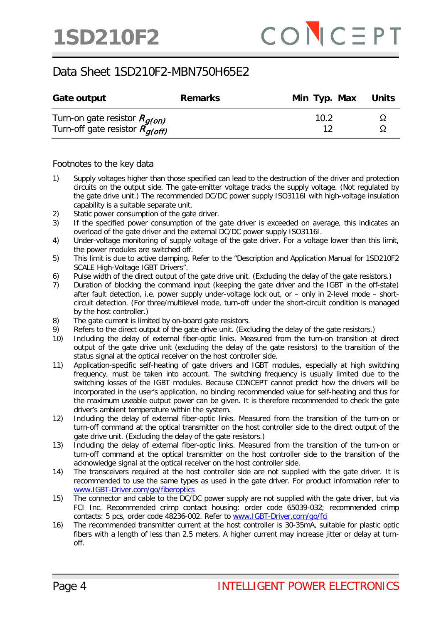| Gate output                                                                      | <b>Remarks</b> | Min Typ. Max Units |  |
|----------------------------------------------------------------------------------|----------------|--------------------|--|
| Turn-on gate resistor $R_{q(0n)}$<br>Turn-off gate resistor $R_{a (off)}^{1.77}$ |                | 10.2               |  |

Footnotes to the key data

- 1) Supply voltages higher than those specified can lead to the destruction of the driver and protection circuits on the output side. The gate-emitter voltage tracks the supply voltage. (Not regulated by the gate drive unit.) The recommended DC/DC power supply ISO3116I with high-voltage insulation capability is a suitable separate unit.
- 2) Static power consumption of the gate driver.
- 3) If the specified power consumption of the gate driver is exceeded on average, this indicates an overload of the gate driver and the external DC/DC power supply ISO3116I.
- 4) Under-voltage monitoring of supply voltage of the gate driver. For a voltage lower than this limit, the power modules are switched off.
- 5) This limit is due to active clamping. Refer to the "Description and Application Manual for 1SD210F2 SCALE High-Voltage IGBT Drivers".
- 6) Pulse width of the direct output of the gate drive unit. (Excluding the delay of the gate resistors.)
- 7) Duration of blocking the command input (keeping the gate driver and the IGBT in the off-state) after fault detection, i.e. power supply under-voltage lock out, or – only in 2-level mode – shortcircuit detection. (For three/multilevel mode, turn-off under the short-circuit condition is managed by the host controller.)
- 8) The gate current is limited by on-board gate resistors.
- 9) Refers to the direct output of the gate drive unit. (Excluding the delay of the gate resistors.)
- 10) Including the delay of external fiber-optic links. Measured from the turn-on transition at direct output of the gate drive unit (excluding the delay of the gate resistors) to the transition of the status signal at the optical receiver on the host controller side.
- 11) Application-specific self-heating of gate drivers and IGBT modules, especially at high switching frequency, must be taken into account. The switching frequency is usually limited due to the switching losses of the IGBT modules. Because CONCEPT cannot predict how the drivers will be incorporated in the user's application, no binding recommended value for self-heating and thus for the maximum useable output power can be given. It is therefore recommended to check the gate driver's ambient temperature within the system.
- 12) Including the delay of external fiber-optic links. Measured from the transition of the turn-on or turn-off command at the optical transmitter on the host controller side to the direct output of the gate drive unit. (Excluding the delay of the gate resistors.)
- 13) Including the delay of external fiber-optic links. Measured from the transition of the turn-on or turn-off command at the optical transmitter on the host controller side to the transition of the acknowledge signal at the optical receiver on the host controller side.
- 14) The transceivers required at the host controller side are not supplied with the gate driver. It is recommended to use the same types as used in the gate driver. For product information refer to [www.IGBT-Driver.com/go/fiberoptics](http://www.igbt-driver.com/go/fiberoptics)
- 15) The connector and cable to the DC/DC power supply are not supplied with the gate driver, but via FCI Inc. Recommended crimp contact housing: order code 65039-032; recommended crimp contacts: 5 pcs, order code 48236-002. Refer to www.IGBT-Driver.com/go/fci
- 16) The recommended transmitter current at the host controller is 30-35mA, suitable for plastic optic fibers with a length of less than 2.5 meters. A higher current may increase jitter or delay at turnoff.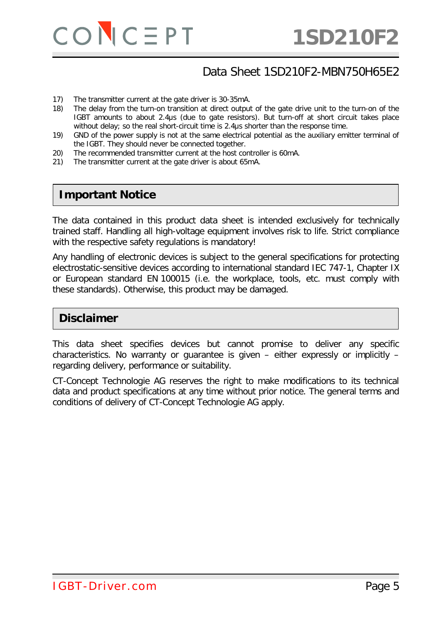

- 17) The transmitter current at the gate driver is 30-35mA.
- 18) The delay from the turn-on transition at direct output of the gate drive unit to the turn-on of the IGBT amounts to about 2.4μs (due to gate resistors). But turn-off at short circuit takes place without delay; so the real short-circuit time is 2.4µs shorter than the response time.
- 19) GND of the power supply is not at the same electrical potential as the auxiliary emitter terminal of the IGBT. They should never be connected together.
- 20) The recommended transmitter current at the host controller is 60mA.
- 21) The transmitter current at the gate driver is about 65mA.

#### **Important Notice**

The data contained in this product data sheet is intended exclusively for technically trained staff. Handling all high-voltage equipment involves risk to life. Strict compliance with the respective safety regulations is mandatory!

Any handling of electronic devices is subject to the general specifications for protecting electrostatic-sensitive devices according to international standard IEC 747-1, Chapter IX or European standard EN 100015 (i.e. the workplace, tools, etc. must comply with these standards). Otherwise, this product may be damaged.

#### **Disclaimer**

This data sheet specifies devices but cannot promise to deliver any specific characteristics. No warranty or guarantee is given – either expressly or implicitly – regarding delivery, performance or suitability.

CT-Concept Technologie AG reserves the right to make modifications to its technical data and product specifications at any time without prior notice. The general terms and conditions of delivery of CT-Concept Technologie AG apply.